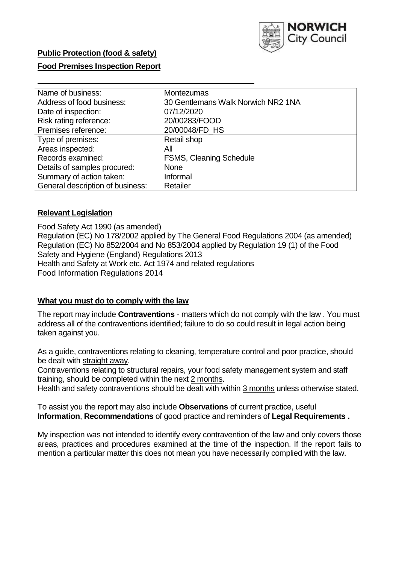

## **Public Protection (food & safety)**

### **Food Premises Inspection Report**

| Name of business:                | <b>Montezumas</b>                  |
|----------------------------------|------------------------------------|
| Address of food business:        | 30 Gentlemans Walk Norwich NR2 1NA |
| Date of inspection:              | 07/12/2020                         |
| Risk rating reference:           | 20/00283/FOOD                      |
| Premises reference:              | 20/00048/FD_HS                     |
| Type of premises:                | Retail shop                        |
| Areas inspected:                 | All                                |
| Records examined:                | <b>FSMS, Cleaning Schedule</b>     |
| Details of samples procured:     | <b>None</b>                        |
| Summary of action taken:         | Informal                           |
| General description of business: | Retailer                           |

#### **Relevant Legislation**

 Food Safety Act 1990 (as amended) Regulation (EC) No 178/2002 applied by The General Food Regulations 2004 (as amended) Regulation (EC) No 852/2004 and No 853/2004 applied by Regulation 19 (1) of the Food Safety and Hygiene (England) Regulations 2013 Health and Safety at Work etc. Act 1974 and related regulations Food Information Regulations 2014

#### **What you must do to comply with the law**

 The report may include **Contraventions** - matters which do not comply with the law . You must address all of the contraventions identified; failure to do so could result in legal action being taken against you.

 As a guide, contraventions relating to cleaning, temperature control and poor practice, should be dealt with straight away.

 Contraventions relating to structural repairs, your food safety management system and staff training, should be completed within the next 2 months.

Health and safety contraventions should be dealt with within 3 months unless otherwise stated.

 To assist you the report may also include **Observations** of current practice, useful **Information**, **Recommendations** of good practice and reminders of **Legal Requirements .** 

 My inspection was not intended to identify every contravention of the law and only covers those areas, practices and procedures examined at the time of the inspection. If the report fails to mention a particular matter this does not mean you have necessarily complied with the law.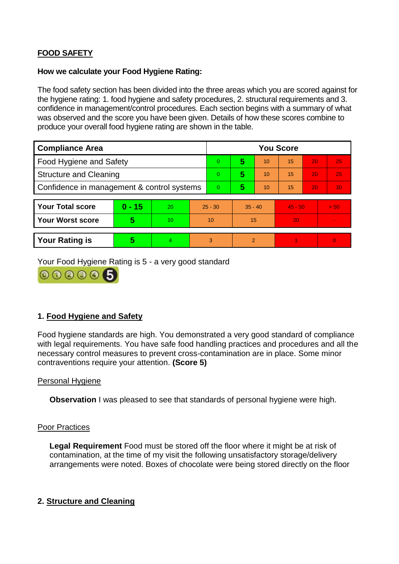# **FOOD SAFETY**

#### **How we calculate your Food Hygiene Rating:**

 The food safety section has been divided into the three areas which you are scored against for the hygiene rating: 1. food hygiene and safety procedures, 2. structural requirements and 3. confidence in management/control procedures. Each section begins with a summary of what was observed and the score you have been given. Details of how these scores combine to produce your overall food hygiene rating are shown in the table.

| <b>Compliance Area</b>                     |          |    |                | <b>You Score</b> |                |    |           |    |                |  |  |
|--------------------------------------------|----------|----|----------------|------------------|----------------|----|-----------|----|----------------|--|--|
| Food Hygiene and Safety                    |          |    | $\overline{0}$ | 5                | 10             | 15 | 20        | 25 |                |  |  |
| <b>Structure and Cleaning</b>              |          |    | $\Omega$       | 5                | 10             | 15 | 20        | 25 |                |  |  |
| Confidence in management & control systems |          |    | $\Omega$       | 5                | 10             | 15 | 20        | 30 |                |  |  |
|                                            |          |    |                |                  |                |    |           |    |                |  |  |
| <b>Your Total score</b>                    | $0 - 15$ | 20 | $25 - 30$      |                  | $35 - 40$      |    | $45 - 50$ |    | > 50           |  |  |
| <b>Your Worst score</b>                    | 5        | 10 |                | 10               |                | 15 |           |    | $\blacksquare$ |  |  |
|                                            |          |    |                |                  |                |    |           |    |                |  |  |
| <b>Your Rating is</b>                      | 5        | 4  | 3              |                  | $\overline{2}$ |    |           |    | $\Omega$       |  |  |

Your Food Hygiene Rating is 5 - a very good standard



## **1. Food Hygiene and Safety**

 with legal requirements. You have safe food handling practices and procedures and all the Food hygiene standards are high. You demonstrated a very good standard of compliance necessary control measures to prevent cross-contamination are in place. Some minor contraventions require your attention. **(Score 5)** 

### Personal Hygiene

**Observation** I was pleased to see that standards of personal hygiene were high.

#### Poor Practices

 **Legal Requirement** Food must be stored off the floor where it might be at risk of contamination, at the time of my visit the following unsatisfactory storage/delivery arrangements were noted. Boxes of chocolate were being stored directly on the floor

### **2. Structure and Cleaning**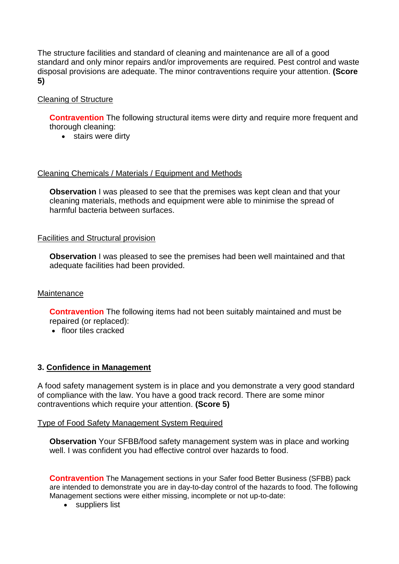The structure facilities and standard of cleaning and maintenance are all of a good standard and only minor repairs and/or improvements are required. Pest control and waste disposal provisions are adequate. The minor contraventions require your attention. **(Score 5)** 

## Cleaning of Structure

**Contravention** The following structural items were dirty and require more frequent and thorough cleaning:

• stairs were dirty

## Cleaning Chemicals / Materials / Equipment and Methods

 cleaning materials, methods and equipment were able to minimise the spread of **Observation** I was pleased to see that the premises was kept clean and that your harmful bacteria between surfaces.

### Facilities and Structural provision

**Observation** I was pleased to see the premises had been well maintained and that adequate facilities had been provided.

### **Maintenance**

 **Contravention** The following items had not been suitably maintained and must be repaired (or replaced):

floor tiles cracked

### **3. Confidence in Management**

A food safety management system is in place and you demonstrate a very good standard of compliance with the law. You have a good track record. There are some minor contraventions which require your attention. **(Score 5)** 

#### Type of Food Safety Management System Required

 well. I was confident you had effective control over hazards to food. **Observation** Your SFBB/food safety management system was in place and working

 **Contravention** The Management sections in your Safer food Better Business (SFBB) pack are intended to demonstrate you are in day-to-day control of the hazards to food. The following Management sections were either missing, incomplete or not up-to-date:

• suppliers list